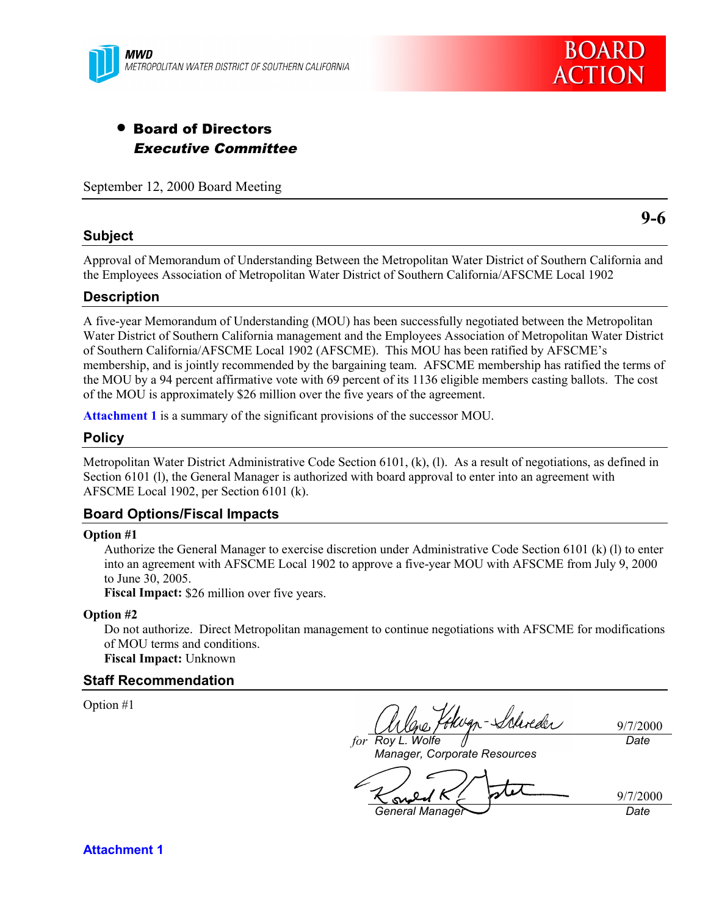

# • Board of Directors Executive Committee

September 12, 2000 Board Meeting

# **Subject**

**9-6**

Approval of Memorandum of Understanding Between the Metropolitan Water District of Southern California and the Employees Association of Metropolitan Water District of Southern California/AFSCME Local 1902

# **Description**

A five-year Memorandum of Understanding (MOU) has been successfully negotiated between the Metropolitan Water District of Southern California management and the Employees Association of Metropolitan Water District of Southern California/AFSCME Local 1902 (AFSCME). This MOU has been ratified by AFSCME's membership, and is jointly recommended by the bargaining team. AFSCME membership has ratified the terms of the MOU by a 94 percent affirmative vote with 69 percent of its 1136 eligible members casting ballots. The cost of the MOU is approximately \$26 million over the five years of the agreement.

**Attachment 1** is a summary of the significant provisions of the successor MOU.

### **Policy**

Metropolitan Water District Administrative Code Section 6101, (k), (l). As a result of negotiations, as defined in Section 6101 (l), the General Manager is authorized with board approval to enter into an agreement with AFSCME Local 1902, per Section 6101 (k).

# **Board Options/Fiscal Impacts**

#### **Option #1**

Authorize the General Manager to exercise discretion under Administrative Code Section 6101 (k) (l) to enter into an agreement with AFSCME Local 1902 to approve a five-year MOU with AFSCME from July 9, 2000 to June 30, 2005.

**Fiscal Impact:** \$26 million over five years.

#### **Option #2**

Do not authorize. Direct Metropolitan management to continue negotiations with AFSCME for modifications of MOU terms and conditions. **Fiscal Impact:** Unknown

### **Staff Recommendation**

Option #1

Wgn-Schreder

9/7/2000 *Date*

*for Roy L. Wolfe Manager, Corporate Resources*

9/7/2000  $\infty$ 

*General Manager Date*